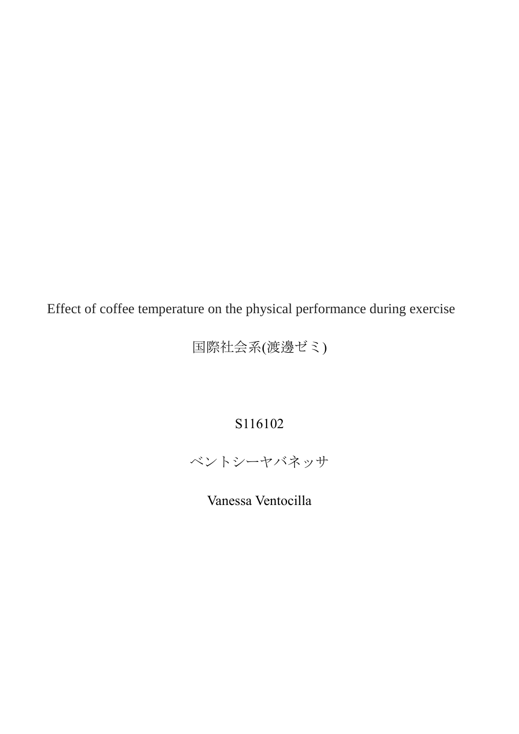Effect of coffee temperature on the physical performance during exercise

国際社会系(渡邊ゼミ)

# S116102

ベントシーヤバネッサ

Vanessa Ventocilla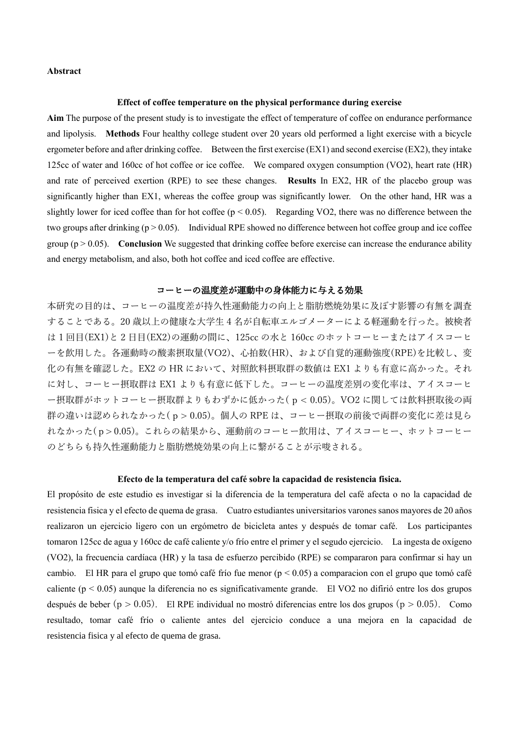## **Abstract**

### **Effect of coffee temperature on the physical performance during exercise**

**Aim** The purpose of the present study is to investigate the effect of temperature of coffee on endurance performance and lipolysis. **Methods** Four healthy college student over 20 years old performed a light exercise with a bicycle ergometer before and after drinking coffee. Between the first exercise  $(EX1)$  and second exercise  $(EX2)$ , they intake 125cc of water and 160cc of hot coffee or ice coffee. We compared oxygen consumption (VO2), heart rate (HR) and rate of perceived exertion (RPE) to see these changes. **Results** In EX2, HR of the placebo group was significantly higher than EX1, whereas the coffee group was significantly lower. On the other hand, HR was a slightly lower for iced coffee than for hot coffee ( $p < 0.05$ ). Regarding VO2, there was no difference between the two groups after drinking  $(p > 0.05)$ . Individual RPE showed no difference between hot coffee group and ice coffee group  $(p > 0.05)$ . **Conclusion** We suggested that drinking coffee before exercise can increase the endurance ability and energy metabolism, and also, both hot coffee and iced coffee are effective.

## コーヒーの温度差が運動中の身体能力に与える効果

本研究の目的は、コーヒーの温度差が持久性運動能力の向上と脂肪燃焼効果に及ぼす影響の有無を調査 することである。20 歳以上の健康な大学生 4 名が自転車エルゴメーターによる軽運動を行った。被検者 は 1 回目(EX1)と 2 日目(EX2)の運動の間に、125cc の水と 160cc のホットコーヒーまたはアイスコーヒ ーを飲用した。各運動時の酸素摂取量(VO2)、心拍数(HR)、および自覚的運動強度(RPE)を比較し、変 化の有無を確認した。EX2 の HR において、対照飲料摂取群の数値は EX1 よりも有意に高かった。それ に対し、コーヒー摂取群は EX1 よりも有意に低下した。コーヒーの温度差別の変化率は、アイスコーヒ ー摂取群がホットコーヒー摂取群よりもわずかに低かった( p < 0.05)。VO2 に関しては飲料摂取後の両 群の違いは認められなかった( p > 0.05)。個人の RPE は、コーヒー摂取の前後で両群の変化に差は見ら れなかった( p > 0.05)。これらの結果から、運動前のコーヒー飲用は、アイスコーヒー、ホットコーヒー のどちらも持久性運動能力と脂肪燃焼効果の向上に繋がることが示唆される。

## **Efecto de la temperatura del café sobre la capacidad de resistencia fisica.**

El propósito de este estudio es investigar si la diferencia de la temperatura del café afecta o no la capacidad de resistencia fisica y el efecto de quema de grasa. Cuatro estudiantes universitarios varones sanos mayores de 20 años realizaron un ejercicio ligero con un ergómetro de bicicleta antes y después de tomar café. Los participantes tomaron 125cc de agua y 160cc de café caliente y/o frío entre el primer y el segudo ejercicio. La ingesta de oxígeno (VO2), la frecuencia cardíaca (HR) y la tasa de esfuerzo percibido (RPE) se compararon para confirmar si hay un cambio. El HR para el grupo que tomó café frío fue menor ( $p < 0.05$ ) a comparacion con el grupo que tomó café caliente (p < 0.05) aunque la diferencia no es significativamente grande. El VO2 no difirió entre los dos grupos después de beber ( $p > 0.05$ ). El RPE individual no mostró diferencias entre los dos grupos ( $p > 0.05$ ). Como resultado, tomar café frío o caliente antes del ejercicio conduce a una mejora en la capacidad de resistencia fisica y al efecto de quema de grasa.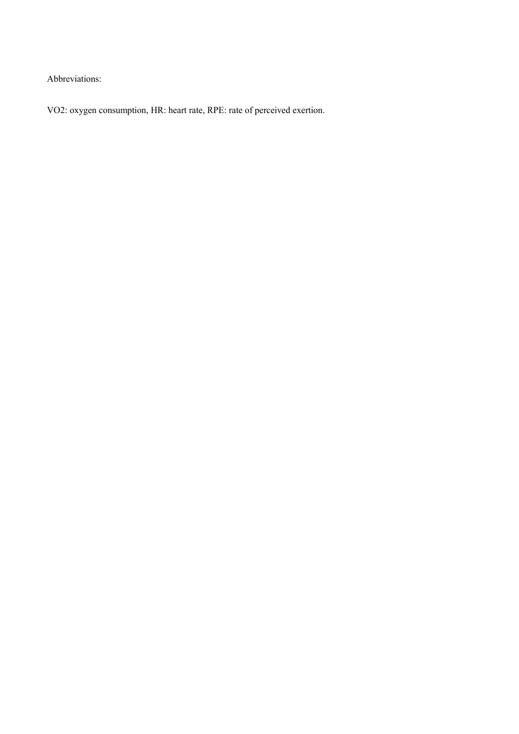Abbreviations:

VO2: oxygen consumption, HR: heart rate, RPE: rate of perceived exertion.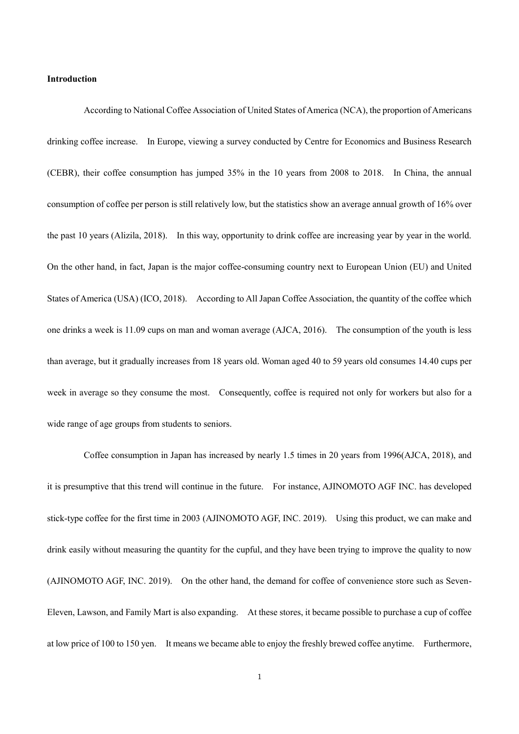## **Introduction**

According to National Coffee Association of United States of America (NCA), the proportion of Americans drinking coffee increase. In Europe, viewing a survey conducted by Centre for Economics and Business Research (CEBR), their coffee consumption has jumped 35% in the 10 years from 2008 to 2018. In China, the annual consumption of coffee per person is still relatively low, but the statistics show an average annual growth of 16% over the past 10 years (Alizila, 2018). In this way, opportunity to drink coffee are increasing year by year in the world. On the other hand, in fact, Japan is the major coffee-consuming country next to European Union (EU) and United States of America (USA) (ICO, 2018). According to All Japan Coffee Association, the quantity of the coffee which one drinks a week is 11.09 cups on man and woman average (AJCA, 2016). The consumption of the youth is less than average, but it gradually increases from 18 years old. Woman aged 40 to 59 years old consumes 14.40 cups per week in average so they consume the most. Consequently, coffee is required not only for workers but also for a wide range of age groups from students to seniors.

Coffee consumption in Japan has increased by nearly 1.5 times in 20 years from 1996(AJCA, 2018), and it is presumptive that this trend will continue in the future. For instance, AJINOMOTO AGF INC. has developed stick-type coffee for the first time in 2003 (AJINOMOTO AGF, INC. 2019). Using this product, we can make and drink easily without measuring the quantity for the cupful, and they have been trying to improve the quality to now (AJINOMOTO AGF, INC. 2019). On the other hand, the demand for coffee of convenience store such as Seven-Eleven, Lawson, and Family Mart is also expanding. At these stores, it became possible to purchase a cup of coffee at low price of 100 to 150 yen. It means we became able to enjoy the freshly brewed coffee anytime. Furthermore,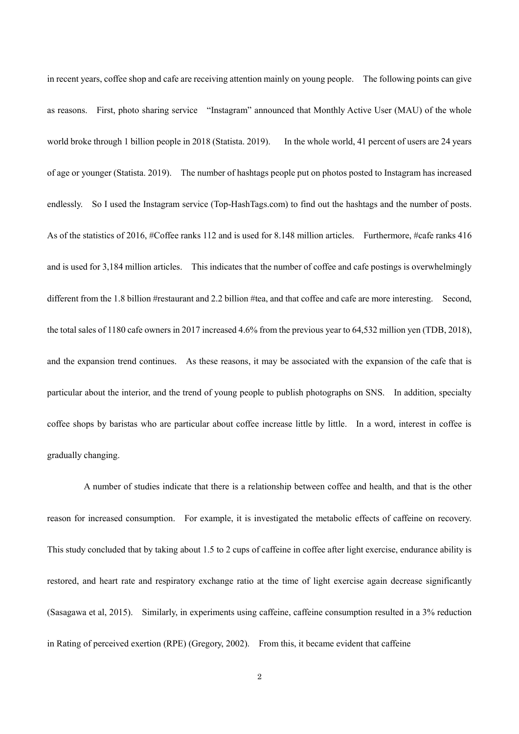in recent years, coffee shop and cafe are receiving attention mainly on young people. The following points can give as reasons. First, photo sharing service "Instagram" announced that Monthly Active User (MAU) of the whole world broke through 1 billion people in 2018 (Statista. 2019). In the whole world, 41 percent of users are 24 years of age or younger (Statista. 2019). The number of hashtags people put on photos posted to Instagram has increased endlessly. So I used the Instagram service (Top-HashTags.com) to find out the hashtags and the number of posts. As of the statistics of 2016, #Coffee ranks 112 and is used for 8.148 million articles. Furthermore, #cafe ranks 416 and is used for 3,184 million articles. This indicates that the number of coffee and cafe postings is overwhelmingly different from the 1.8 billion #restaurant and 2.2 billion #tea, and that coffee and cafe are more interesting. Second, the total sales of 1180 cafe owners in 2017 increased 4.6% from the previous year to 64,532 million yen (TDB, 2018), and the expansion trend continues. As these reasons, it may be associated with the expansion of the cafe that is particular about the interior, and the trend of young people to publish photographs on SNS. In addition, specialty coffee shops by baristas who are particular about coffee increase little by little. In a word, interest in coffee is gradually changing.

A number of studies indicate that there is a relationship between coffee and health, and that is the other reason for increased consumption. For example, it is investigated the metabolic effects of caffeine on recovery. This study concluded that by taking about 1.5 to 2 cups of caffeine in coffee after light exercise, endurance ability is restored, and heart rate and respiratory exchange ratio at the time of light exercise again decrease significantly (Sasagawa et al, 2015). Similarly, in experiments using caffeine, caffeine consumption resulted in a 3% reduction in Rating of perceived exertion (RPE) (Gregory, 2002). From this, it became evident that caffeine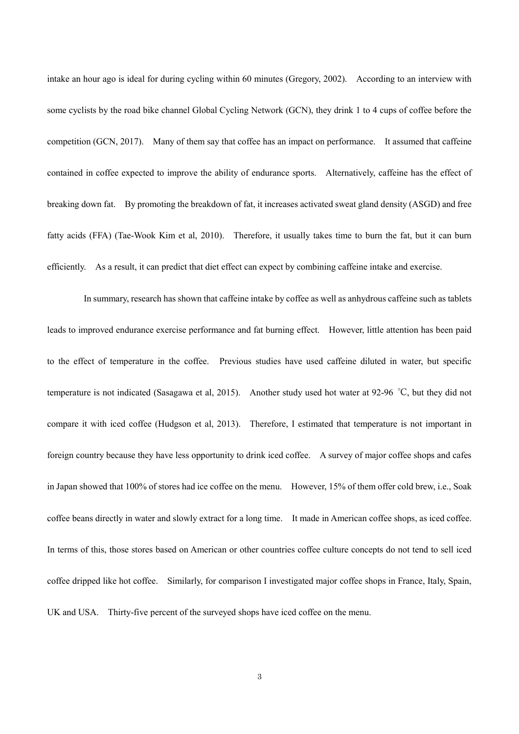intake an hour ago is ideal for during cycling within 60 minutes (Gregory, 2002). According to an interview with some cyclists by the road bike channel Global Cycling Network (GCN), they drink 1 to 4 cups of coffee before the competition (GCN, 2017). Many of them say that coffee has an impact on performance. It assumed that caffeine contained in coffee expected to improve the ability of endurance sports. Alternatively, caffeine has the effect of breaking down fat. By promoting the breakdown of fat, it increases activated sweat gland density (ASGD) and free fatty acids (FFA) (Tae-Wook Kim et al, 2010). Therefore, it usually takes time to burn the fat, but it can burn efficiently. As a result, it can predict that diet effect can expect by combining caffeine intake and exercise.

In summary, research has shown that caffeine intake by coffee as well as anhydrous caffeine such as tablets leads to improved endurance exercise performance and fat burning effect. However, little attention has been paid to the effect of temperature in the coffee. Previous studies have used caffeine diluted in water, but specific temperature is not indicated (Sasagawa et al, 2015). Another study used hot water at 92-96 ℃, but they did not compare it with iced coffee (Hudgson et al, 2013). Therefore, I estimated that temperature is not important in foreign country because they have less opportunity to drink iced coffee. A survey of major coffee shops and cafes in Japan showed that 100% of stores had ice coffee on the menu. However, 15% of them offer cold brew, i.e., Soak coffee beans directly in water and slowly extract for a long time. It made in American coffee shops, as iced coffee. In terms of this, those stores based on American or other countries coffee culture concepts do not tend to sell iced coffee dripped like hot coffee. Similarly, for comparison I investigated major coffee shops in France, Italy, Spain, UK and USA. Thirty-five percent of the surveyed shops have iced coffee on the menu.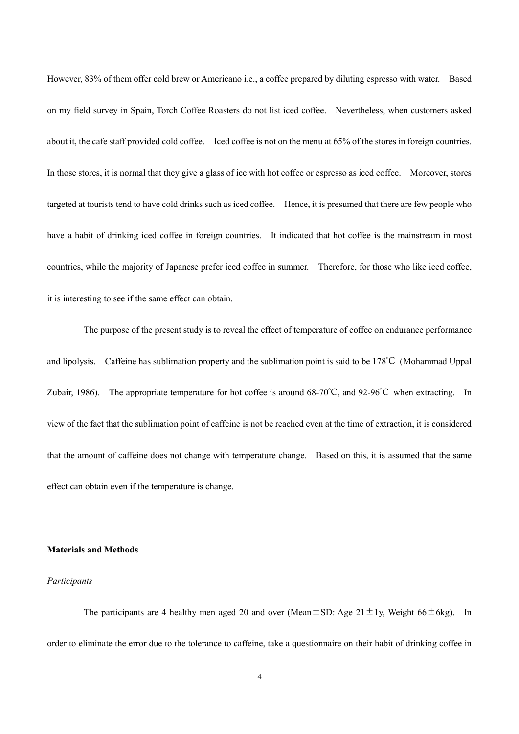However, 83% of them offer cold brew or Americano i.e., a coffee prepared by diluting espresso with water. Based on my field survey in Spain, Torch Coffee Roasters do not list iced coffee. Nevertheless, when customers asked about it, the cafe staff provided cold coffee. Iced coffee is not on the menu at 65% of the stores in foreign countries. In those stores, it is normal that they give a glass of ice with hot coffee or espresso as iced coffee. Moreover, stores targeted at tourists tend to have cold drinks such as iced coffee. Hence, it is presumed that there are few people who have a habit of drinking iced coffee in foreign countries. It indicated that hot coffee is the mainstream in most countries, while the majority of Japanese prefer iced coffee in summer. Therefore, for those who like iced coffee, it is interesting to see if the same effect can obtain.

The purpose of the present study is to reveal the effect of temperature of coffee on endurance performance and lipolysis. Caffeine has sublimation property and the sublimation point is said to be 178℃ (Mohammad Uppal Zubair, 1986). The appropriate temperature for hot coffee is around 68-70℃, and 92-96℃ when extracting. In view of the fact that the sublimation point of caffeine is not be reached even at the time of extraction, it is considered that the amount of caffeine does not change with temperature change. Based on this, it is assumed that the same effect can obtain even if the temperature is change.

## **Materials and Methods**

## *Participants*

The participants are 4 healthy men aged 20 and over (Mean $\pm$ SD: Age 21 $\pm$ 1y, Weight 66 $\pm$ 6kg). In order to eliminate the error due to the tolerance to caffeine, take a questionnaire on their habit of drinking coffee in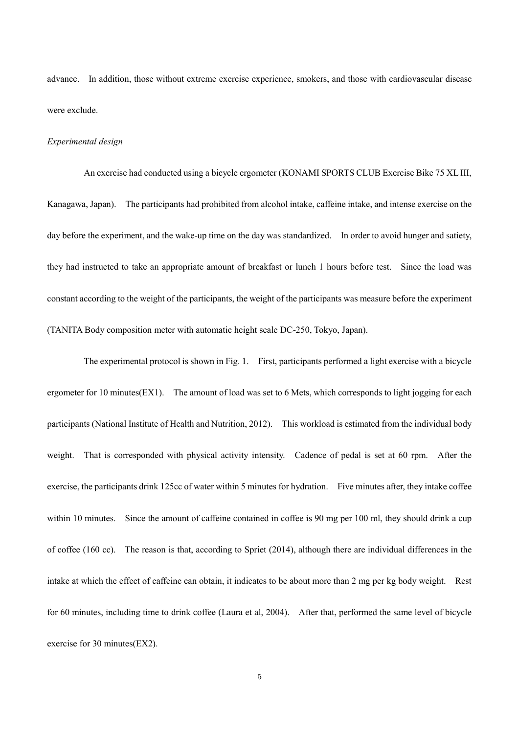advance. In addition, those without extreme exercise experience, smokers, and those with cardiovascular disease were exclude.

#### *Experimental design*

An exercise had conducted using a bicycle ergometer (KONAMI SPORTS CLUB Exercise Bike 75 XL III, Kanagawa, Japan). The participants had prohibited from alcohol intake, caffeine intake, and intense exercise on the day before the experiment, and the wake-up time on the day was standardized. In order to avoid hunger and satiety, they had instructed to take an appropriate amount of breakfast or lunch 1 hours before test. Since the load was constant according to the weight of the participants, the weight of the participants was measure before the experiment (TANITA Body composition meter with automatic height scale DC-250, Tokyo, Japan).

The experimental protocol is shown in Fig. 1. First, participants performed a light exercise with a bicycle ergometer for 10 minutes(EX1). The amount of load was set to 6 Mets, which corresponds to light jogging for each participants (National Institute of Health and Nutrition, 2012). This workload is estimated from the individual body weight. That is corresponded with physical activity intensity. Cadence of pedal is set at 60 rpm. After the exercise, the participants drink 125cc of water within 5 minutes for hydration. Five minutes after, they intake coffee within 10 minutes. Since the amount of caffeine contained in coffee is 90 mg per 100 ml, they should drink a cup of coffee (160 cc). The reason is that, according to Spriet (2014), although there are individual differences in the intake at which the effect of caffeine can obtain, it indicates to be about more than 2 mg per kg body weight. Rest for 60 minutes, including time to drink coffee (Laura et al, 2004). After that, performed the same level of bicycle exercise for 30 minutes(EX2).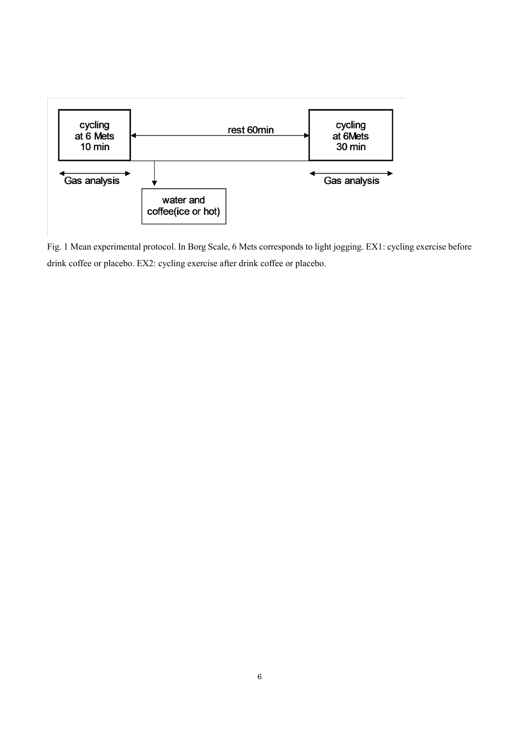

Fig. 1 Mean experimental protocol. In Borg Scale, 6 Mets corresponds to light jogging. EX1: cycling exercise before drink coffee or placebo. EX2: cycling exercise after drink coffee or placebo.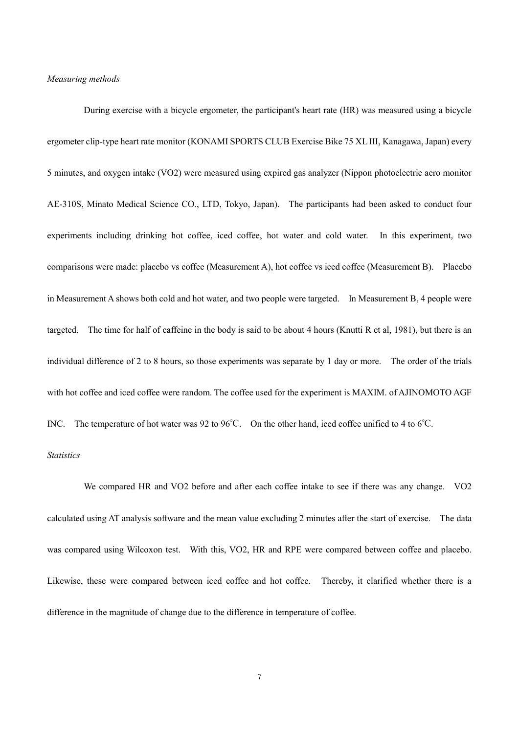#### *Measuring methods*

During exercise with a bicycle ergometer, the participant's heart rate (HR) was measured using a bicycle ergometer clip-type heart rate monitor (KONAMI SPORTS CLUB Exercise Bike 75 XL III, Kanagawa, Japan) every 5 minutes, and oxygen intake (VO2) were measured using expired gas analyzer (Nippon photoelectric aero monitor AE-310S, Minato Medical Science CO., LTD, Tokyo, Japan). The participants had been asked to conduct four experiments including drinking hot coffee, iced coffee, hot water and cold water. In this experiment, two comparisons were made: placebo vs coffee (Measurement A), hot coffee vs iced coffee (Measurement B). Placebo in Measurement A shows both cold and hot water, and two people were targeted. In Measurement B, 4 people were targeted. The time for half of caffeine in the body is said to be about 4 hours (Knutti R et al, 1981), but there is an individual difference of 2 to 8 hours, so those experiments was separate by 1 day or more. The order of the trials with hot coffee and iced coffee were random. The coffee used for the experiment is MAXIM. of AJINOMOTO AGF INC. The temperature of hot water was 92 to 96℃. On the other hand, iced coffee unified to 4 to 6℃.

## *Statistics*

We compared HR and VO2 before and after each coffee intake to see if there was any change. VO2 calculated using AT analysis software and the mean value excluding 2 minutes after the start of exercise. The data was compared using Wilcoxon test. With this, VO2, HR and RPE were compared between coffee and placebo. Likewise, these were compared between iced coffee and hot coffee. Thereby, it clarified whether there is a difference in the magnitude of change due to the difference in temperature of coffee.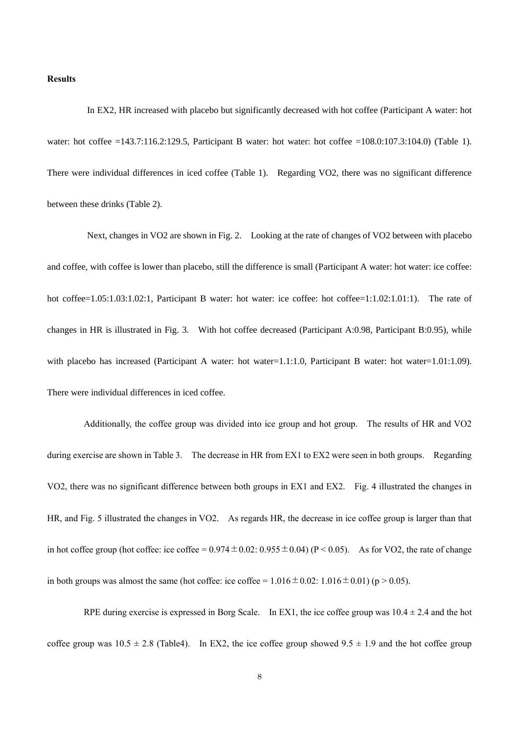## **Results**

In EX2, HR increased with placebo but significantly decreased with hot coffee (Participant A water: hot water: hot coffee =143.7:116.2:129.5, Participant B water: hot water: hot coffee =108.0:107.3:104.0) (Table 1). There were individual differences in iced coffee (Table 1). Regarding VO2, there was no significant difference between these drinks (Table 2).

Next, changes in VO2 are shown in Fig. 2. Looking at the rate of changes of VO2 between with placebo and coffee, with coffee is lower than placebo, still the difference is small (Participant A water: hot water: ice coffee: hot coffee=1.05:1.03:1.02:1, Participant B water: hot water: ice coffee: hot coffee=1:1.02:1.01:1). The rate of changes in HR is illustrated in Fig. 3. With hot coffee decreased (Participant A:0.98, Participant B:0.95), while with placebo has increased (Participant A water: hot water=1.1:1.0, Participant B water: hot water=1.01:1.09). There were individual differences in iced coffee.

Additionally, the coffee group was divided into ice group and hot group. The results of HR and VO2 during exercise are shown in Table 3. The decrease in HR from EX1 to EX2 were seen in both groups. Regarding VO2, there was no significant difference between both groups in EX1 and EX2. Fig. 4 illustrated the changes in HR, and Fig. 5 illustrated the changes in VO2. As regards HR, the decrease in ice coffee group is larger than that in hot coffee group (hot coffee: ice coffee =  $0.974 \pm 0.02$ :  $0.955 \pm 0.04$ ) (P < 0.05). As for VO2, the rate of change in both groups was almost the same (hot coffee: ice coffee =  $1.016 \pm 0.02$ :  $1.016 \pm 0.01$ ) (p > 0.05).

RPE during exercise is expressed in Borg Scale. In EX1, the ice coffee group was  $10.4 \pm 2.4$  and the hot coffee group was  $10.5 \pm 2.8$  (Table4). In EX2, the ice coffee group showed  $9.5 \pm 1.9$  and the hot coffee group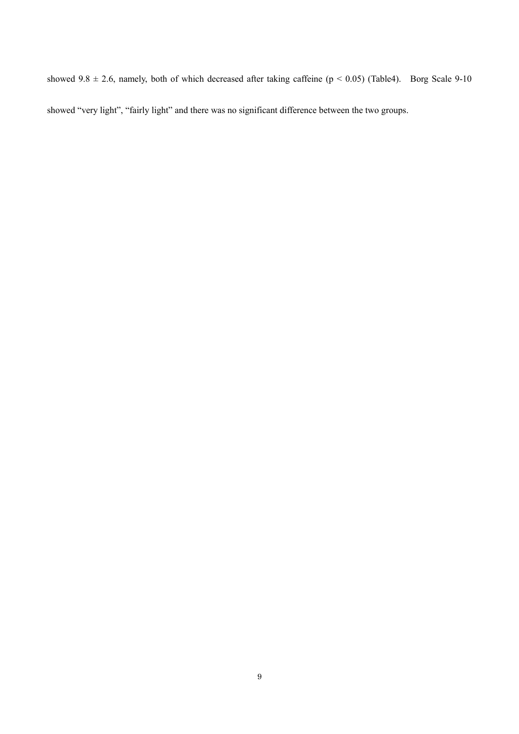showed  $9.8 \pm 2.6$ , namely, both of which decreased after taking caffeine (p < 0.05) (Table4). Borg Scale 9-10 showed "very light", "fairly light" and there was no significant difference between the two groups.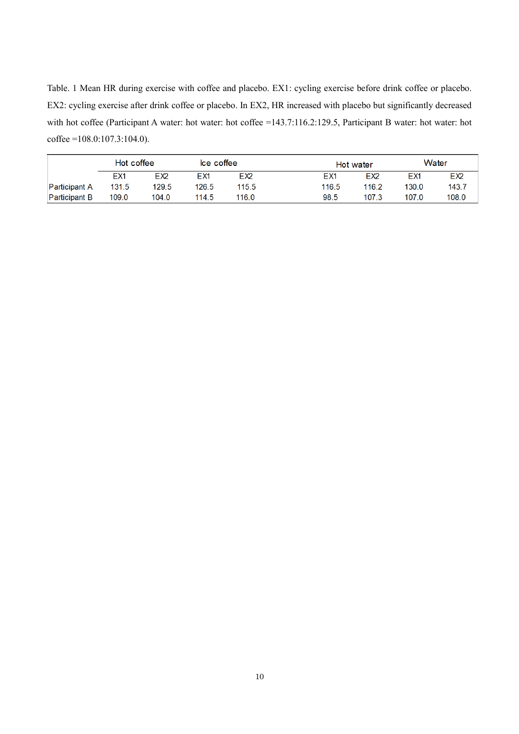Table. 1 Mean HR during exercise with coffee and placebo. EX1: cycling exercise before drink coffee or placebo. EX2: cycling exercise after drink coffee or placebo. In EX2, HR increased with placebo but significantly decreased with hot coffee (Participant A water: hot water: hot coffee =143.7:116.2:129.5, Participant B water: hot water: hot coffee =108.0:107.3:104.0).

|                      | Hot coffee      |                 | Ice coffee |                 | Hot water |                 | Water |                 |
|----------------------|-----------------|-----------------|------------|-----------------|-----------|-----------------|-------|-----------------|
|                      | EX <sub>1</sub> | EX <sub>2</sub> | EX1        | EX <sub>2</sub> | EX1       | EX <sub>2</sub> | EX1   | EX <sub>2</sub> |
| <b>Participant A</b> | 131.5           | 129.5           | 126.5      | 115.5           | 116.5     | 116.2           | 130.0 | 143.7           |
| <b>Participant B</b> | 109.0           | 104.0           | 114.5      | 116.0           | 98.5      | 107.3           | 107.0 | 108.0           |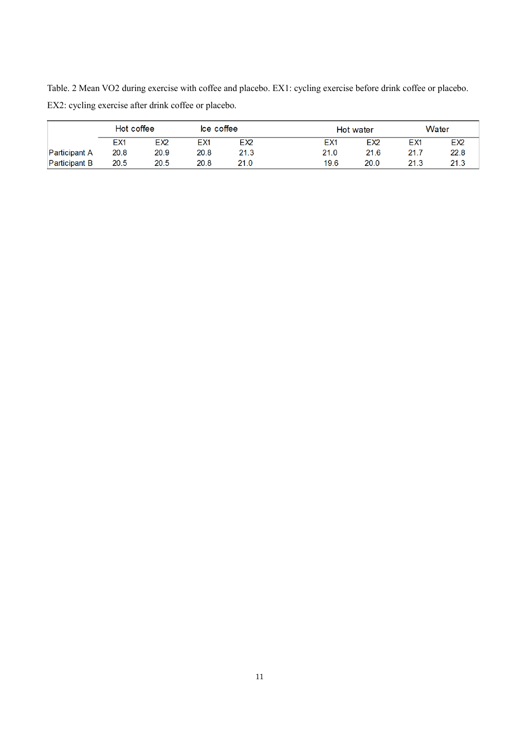Table. 2 Mean VO2 during exercise with coffee and placebo. EX1: cycling exercise before drink coffee or placebo. EX2: cycling exercise after drink coffee or placebo.

|                      | Hot coffee |                 | Ice coffee      |                 |      | Hot water       |                 | Water           |  |
|----------------------|------------|-----------------|-----------------|-----------------|------|-----------------|-----------------|-----------------|--|
|                      | EX1        | EX <sub>2</sub> | EX <sub>1</sub> | EX <sub>2</sub> | EX1  | EX <sub>2</sub> | EX <sub>1</sub> | EX <sub>2</sub> |  |
| <b>Participant A</b> | 20.8       | 20.9            | 20.8            | 21.3            | 21.0 | 21.6            | 21.7            | 22.8            |  |
| <b>Participant B</b> | 20.5       | 20.5            | 20.8            | 21.0            | 19.6 | 20.0            | 21.3            | 21.3            |  |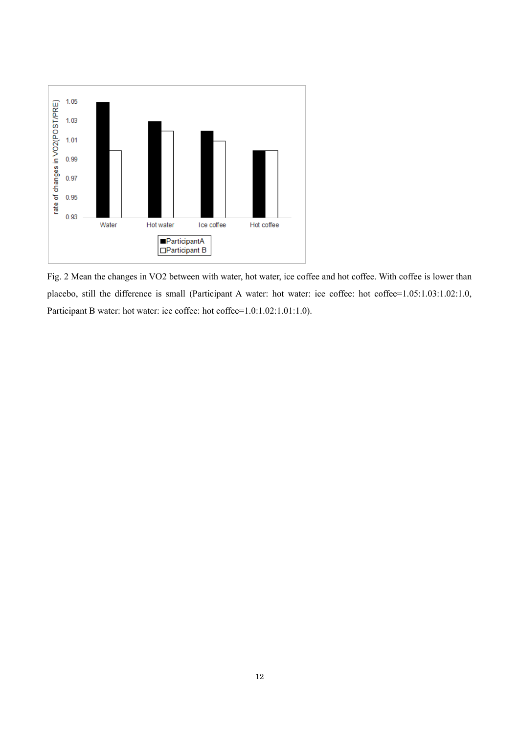

Fig. 2 Mean the changes in VO2 between with water, hot water, ice coffee and hot coffee. With coffee is lower than placebo, still the difference is small (Participant A water: hot water: ice coffee: hot coffee=1.05:1.03:1.02:1.0, Participant B water: hot water: ice coffee: hot coffee=1.0:1.02:1.01:1.0).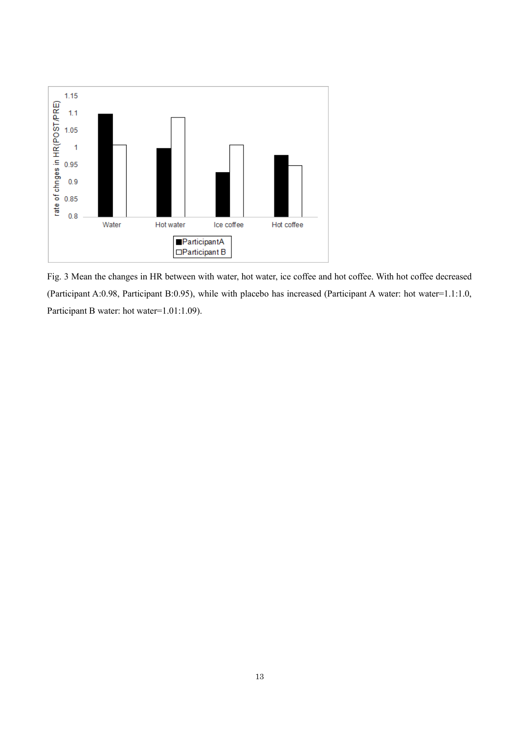

Fig. 3 Mean the changes in HR between with water, hot water, ice coffee and hot coffee. With hot coffee decreased (Participant A:0.98, Participant B:0.95), while with placebo has increased (Participant A water: hot water=1.1:1.0, Participant B water: hot water=1.01:1.09).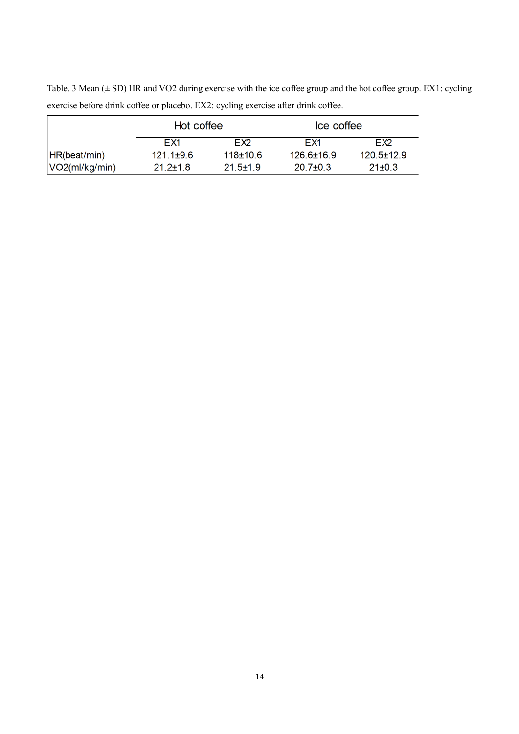Table. 3 Mean ( $\pm$  SD) HR and VO2 during exercise with the ice coffee group and the hot coffee group. EX1: cycling exercise before drink coffee or placebo. EX2: cycling exercise after drink coffee.

|                | Hot coffee      |                 | Ice coffee       |                  |  |
|----------------|-----------------|-----------------|------------------|------------------|--|
|                | FX1             | FX <sub>2</sub> | FX1              | FX <sub>2</sub>  |  |
| HR(beat/min)   | $121.1 \pm 9.6$ | $118+10.6$      | $126.6 \pm 16.9$ | $120.5 \pm 12.9$ |  |
| VO2(ml/kg/min) | $21.2 \pm 1.8$  | $21.5 \pm 1.9$  | $20.7 \pm 0.3$   | $21 \pm 0.3$     |  |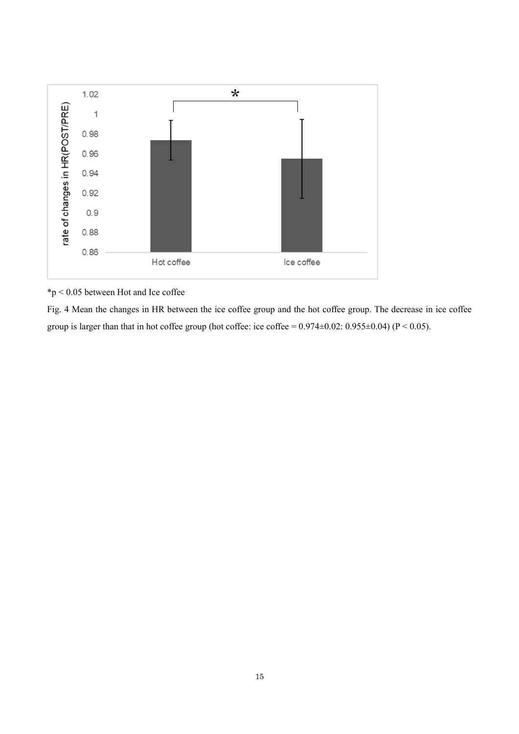

\*p < 0.05 between Hot and Ice coffee

Fig. 4 Mean the changes in HR between the ice coffee group and the hot coffee group. The decrease in ice coffee group is larger than that in hot coffee group (hot coffee: ice coffee =  $0.974\pm0.02$ :  $0.955\pm0.04$ ) (P < 0.05).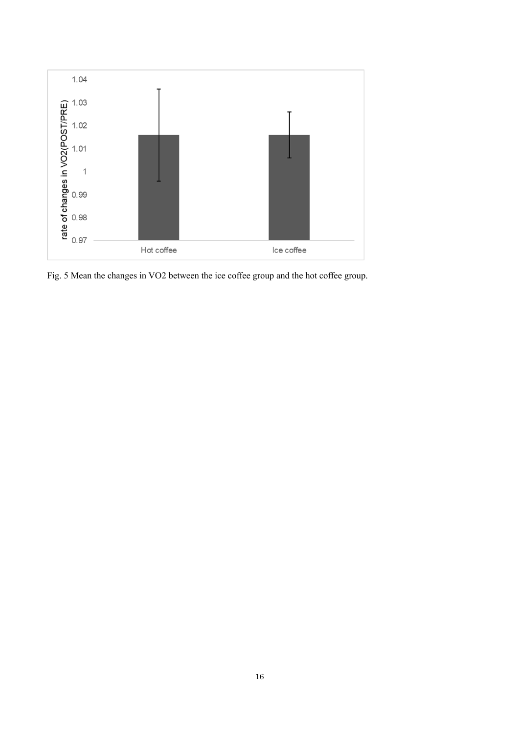

Fig. 5 Mean the changes in VO2 between the ice coffee group and the hot coffee group.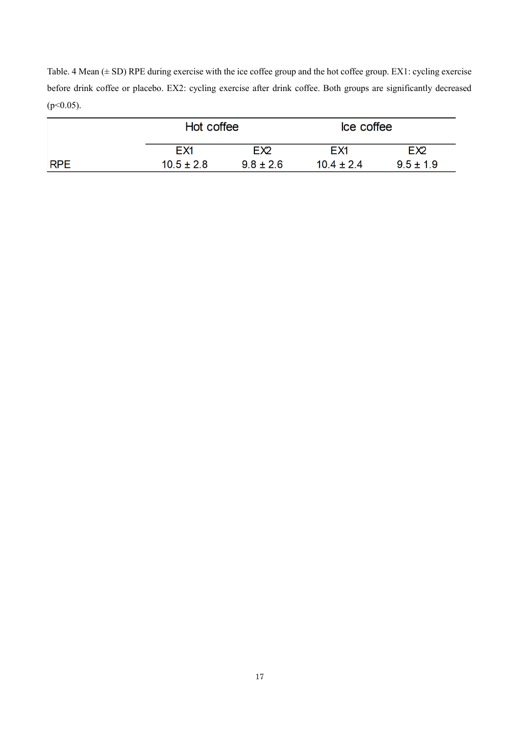Table. 4 Mean  $(\pm SD)$  RPE during exercise with the ice coffee group and the hot coffee group. EX1: cycling exercise before drink coffee or placebo. EX2: cycling exercise after drink coffee. Both groups are significantly decreased  $(p<0.05)$ .

|            | Hot coffee      |                 | Ice coffee      |                 |  |
|------------|-----------------|-----------------|-----------------|-----------------|--|
|            | EX <sub>1</sub> | EX <sub>2</sub> | EX <sub>1</sub> | EX <sub>2</sub> |  |
| <b>RPE</b> | $10.5 \pm 2.8$  | $9.8 \pm 2.6$   | $10.4 \pm 2.4$  | $9.5 \pm 1.9$   |  |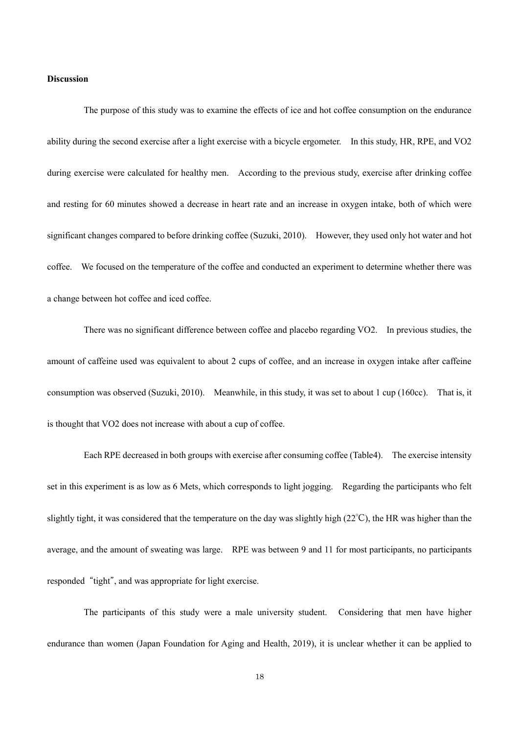## **Discussion**

The purpose of this study was to examine the effects of ice and hot coffee consumption on the endurance ability during the second exercise after a light exercise with a bicycle ergometer. In this study, HR, RPE, and VO2 during exercise were calculated for healthy men. According to the previous study, exercise after drinking coffee and resting for 60 minutes showed a decrease in heart rate and an increase in oxygen intake, both of which were significant changes compared to before drinking coffee (Suzuki, 2010). However, they used only hot water and hot coffee. We focused on the temperature of the coffee and conducted an experiment to determine whether there was a change between hot coffee and iced coffee.

There was no significant difference between coffee and placebo regarding VO2. In previous studies, the amount of caffeine used was equivalent to about 2 cups of coffee, and an increase in oxygen intake after caffeine consumption was observed (Suzuki, 2010). Meanwhile, in this study, it was set to about 1 cup (160cc). That is, it is thought that VO2 does not increase with about a cup of coffee.

Each RPE decreased in both groups with exercise after consuming coffee (Table4). The exercise intensity set in this experiment is as low as 6 Mets, which corresponds to light jogging. Regarding the participants who felt slightly tight, it was considered that the temperature on the day was slightly high (22℃), the HR was higher than the average, and the amount of sweating was large. RPE was between 9 and 11 for most participants, no participants responded "tight", and was appropriate for light exercise.

The participants of this study were a male university student. Considering that men have higher endurance than women (Japan Foundation for Aging and Health, 2019), it is unclear whether it can be applied to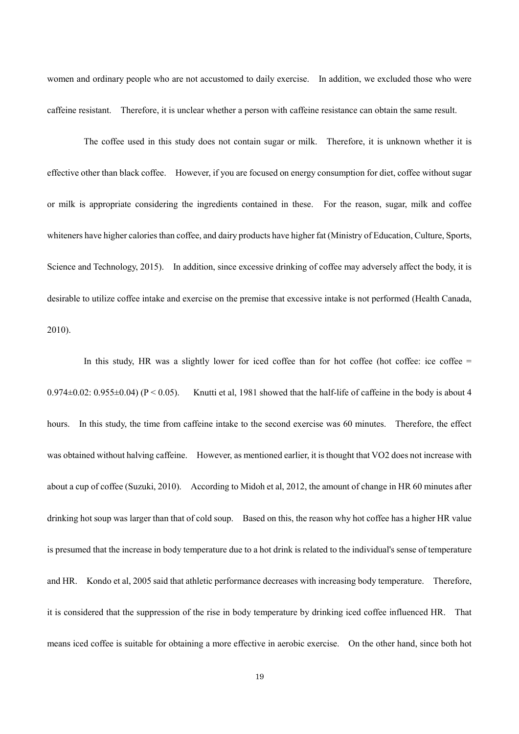women and ordinary people who are not accustomed to daily exercise. In addition, we excluded those who were caffeine resistant. Therefore, it is unclear whether a person with caffeine resistance can obtain the same result.

The coffee used in this study does not contain sugar or milk. Therefore, it is unknown whether it is effective other than black coffee. However, if you are focused on energy consumption for diet, coffee without sugar or milk is appropriate considering the ingredients contained in these. For the reason, sugar, milk and coffee whiteners have higher calories than coffee, and dairy products have higher fat (Ministry of Education, Culture, Sports, Science and Technology, 2015). In addition, since excessive drinking of coffee may adversely affect the body, it is desirable to utilize coffee intake and exercise on the premise that excessive intake is not performed (Health Canada, 2010).

In this study, HR was a slightly lower for iced coffee than for hot coffee (hot coffee: ice coffee  $=$  $0.974\pm0.02$ :  $0.955\pm0.04$ ) (P < 0.05). Knutti et al, 1981 showed that the half-life of caffeine in the body is about 4 hours. In this study, the time from caffeine intake to the second exercise was 60 minutes. Therefore, the effect was obtained without halving caffeine. However, as mentioned earlier, it is thought that VO2 does not increase with about a cup of coffee (Suzuki, 2010). According to Midoh et al, 2012, the amount of change in HR 60 minutes after drinking hot soup was larger than that of cold soup. Based on this, the reason why hot coffee has a higher HR value is presumed that the increase in body temperature due to a hot drink is related to the individual's sense of temperature and HR. Kondo et al, 2005 said that athletic performance decreases with increasing body temperature. Therefore, it is considered that the suppression of the rise in body temperature by drinking iced coffee influenced HR. That means iced coffee is suitable for obtaining a more effective in aerobic exercise. On the other hand, since both hot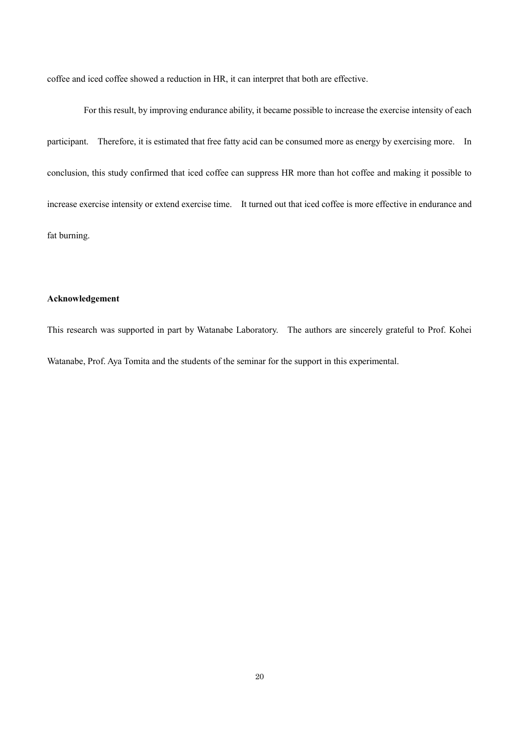coffee and iced coffee showed a reduction in HR, it can interpret that both are effective.

For this result, by improving endurance ability, it became possible to increase the exercise intensity of each participant. Therefore, it is estimated that free fatty acid can be consumed more as energy by exercising more. In conclusion, this study confirmed that iced coffee can suppress HR more than hot coffee and making it possible to increase exercise intensity or extend exercise time. It turned out that iced coffee is more effective in endurance and fat burning.

## **Acknowledgement**

This research was supported in part by Watanabe Laboratory. The authors are sincerely grateful to Prof. Kohei Watanabe, Prof. Aya Tomita and the students of the seminar for the support in this experimental.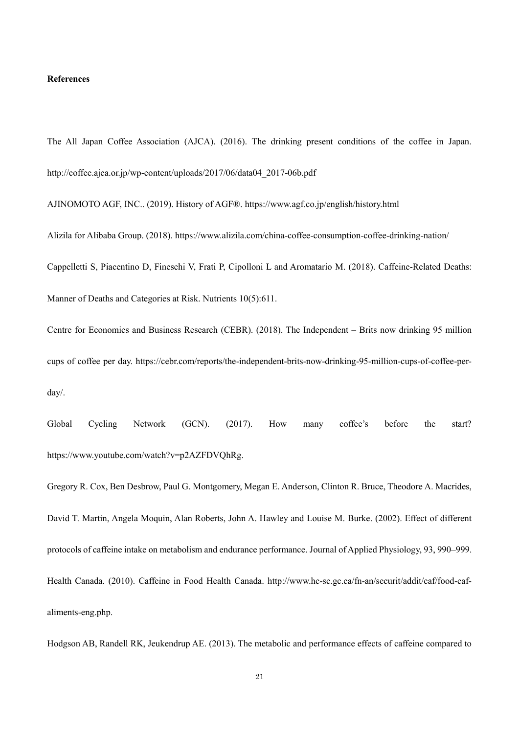## **References**

The All Japan Coffee Association (AJCA). (2016). The drinking present conditions of the coffee in Japan. http://coffee.ajca.or.jp/wp-content/uploads/2017/06/data04\_2017-06b.pdf

AJINOMOTO AGF, INC.. (2019). History of AGF®. https://www.agf.co.jp/english/history.html

Alizila for Alibaba Group. (2018). https://www.alizila.com/china-coffee-consumption-coffee-drinking-nation/ Cappelletti S, Piacentino D, Fineschi V, Frati P, Cipolloni L and Aromatario M. (2018). Caffeine-Related Deaths: Manner of Deaths and Categories at Risk. Nutrients 10(5):611.

Centre for Economics and Business Research (CEBR). (2018). The Independent – Brits now drinking 95 million cups of coffee per day. https://cebr.com/reports/the-independent-brits-now-drinking-95-million-cups-of-coffee-perday/.

Global Cycling Network (GCN). (2017). How many coffee's before the start? https://www.youtube.com/watch?v=p2AZFDVQhRg.

Gregory R. Cox, Ben Desbrow, Paul G. Montgomery, Megan E. Anderson, Clinton R. Bruce, Theodore A. Macrides, David T. Martin, Angela Moquin, Alan Roberts, John A. Hawley and Louise M. Burke. (2002). Effect of different protocols of caffeine intake on metabolism and endurance performance. Journal of Applied Physiology, 93, 990–999. Health Canada. (2010). Caffeine in Food Health Canada. http://www.hc-sc.gc.ca/fn-an/securit/addit/caf/food-cafaliments-eng.php.

Hodgson AB, Randell RK, Jeukendrup AE. (2013). The metabolic and performance effects of caffeine compared to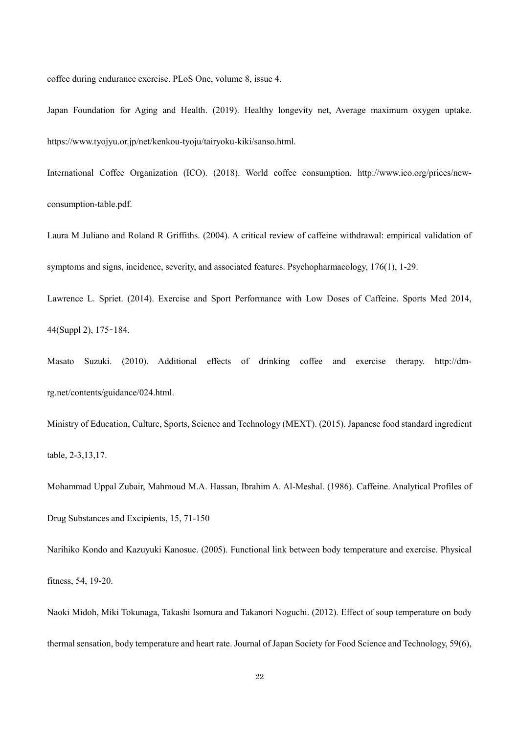coffee during endurance exercise. PLoS One, volume 8, issue 4.

Japan Foundation for Aging and Health. (2019). Healthy longevity net, Average maximum oxygen uptake. https://www.tyojyu.or.jp/net/kenkou-tyoju/tairyoku-kiki/sanso.html.

International Coffee Organization (ICO). (2018). World coffee consumption. http://www.ico.org/prices/newconsumption-table.pdf.

Laura M Juliano and Roland R Griffiths. (2004). A critical review of caffeine withdrawal: empirical validation of symptoms and signs, incidence, severity, and associated features. Psychopharmacology, 176(1), 1-29.

Lawrence L. Spriet. (2014). Exercise and Sport Performance with Low Doses of Caffeine. Sports Med 2014, 44(Suppl 2), 175–184.

Masato Suzuki. (2010). Additional effects of drinking coffee and exercise therapy. http://dmrg.net/contents/guidance/024.html.

Ministry of Education, Culture, Sports, Science and Technology (MEXT). (2015). Japanese food standard ingredient table, 2-3,13,17.

Mohammad Uppal Zubair, Mahmoud M.A. Hassan, Ibrahim A. Al-Meshal. (1986). Caffeine. Analytical Profiles of Drug Substances and Excipients, 15, 71-150

Narihiko Kondo and Kazuyuki Kanosue. (2005). Functional link between body temperature and exercise. Physical fitness, 54, 19-20.

Naoki Midoh, Miki Tokunaga, Takashi Isomura and Takanori Noguchi. (2012). Effect of soup temperature on body thermal sensation, body temperature and heart rate. Journal of Japan Society for Food Science and Technology, 59(6),